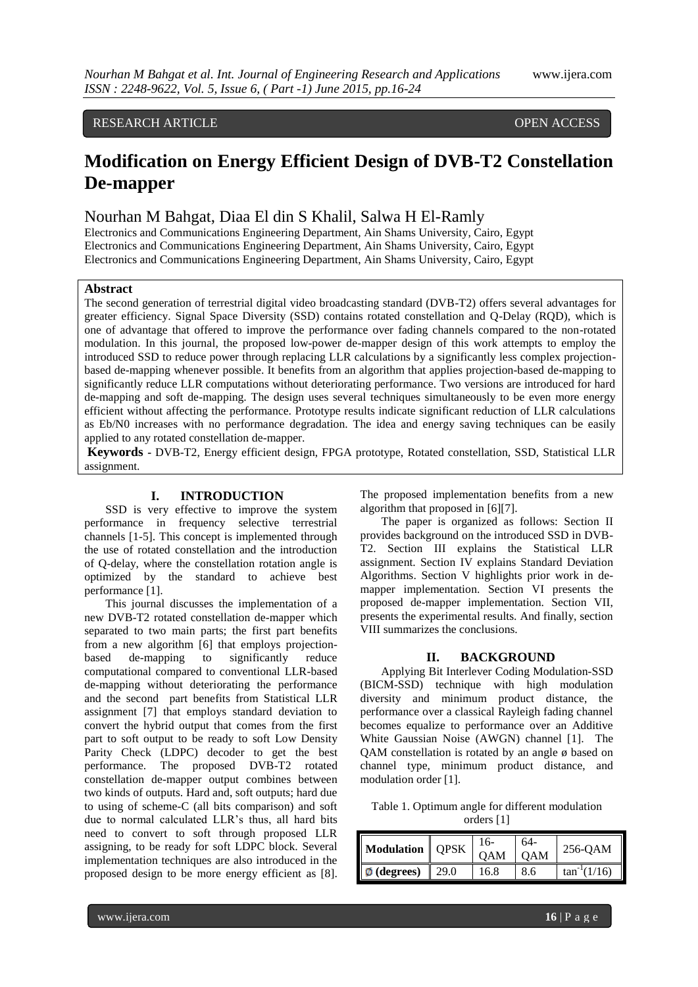# RESEARCH ARTICLE **CONSERVERS** OPEN ACCESS

# **Modification on Energy Efficient Design of DVB-T2 Constellation De-mapper**

# Nourhan M Bahgat, Diaa El din S Khalil, Salwa H El-Ramly

Electronics and Communications Engineering Department, Ain Shams University, Cairo, Egypt Electronics and Communications Engineering Department, Ain Shams University, Cairo, Egypt Electronics and Communications Engineering Department, Ain Shams University, Cairo, Egypt

# **Abstract**

The second generation of terrestrial digital video broadcasting standard (DVB-T2) offers several advantages for greater efficiency. Signal Space Diversity (SSD) contains rotated constellation and Q-Delay (RQD), which is one of advantage that offered to improve the performance over fading channels compared to the non-rotated modulation. In this journal, the proposed low-power de-mapper design of this work attempts to employ the introduced SSD to reduce power through replacing LLR calculations by a significantly less complex projectionbased de-mapping whenever possible. It benefits from an algorithm that applies projection-based de-mapping to significantly reduce LLR computations without deteriorating performance. Two versions are introduced for hard de-mapping and soft de-mapping. The design uses several techniques simultaneously to be even more energy efficient without affecting the performance. Prototype results indicate significant reduction of LLR calculations as Eb/N0 increases with no performance degradation. The idea and energy saving techniques can be easily applied to any rotated constellation de-mapper.

**Keywords -** DVB-T2, Energy efficient design, FPGA prototype, Rotated constellation, SSD, Statistical LLR assignment.

# **I. INTRODUCTION**

SSD is very effective to improve the system performance in frequency selective terrestrial channels [1-5]. This concept is implemented through the use of rotated constellation and the introduction of Q-delay, where the constellation rotation angle is optimized by the standard to achieve best performance [1].

This journal discusses the implementation of a new DVB-T2 rotated constellation de-mapper which separated to two main parts; the first part benefits from a new algorithm [6] that employs projectionbased de-mapping to significantly reduce computational compared to conventional LLR-based de-mapping without deteriorating the performance and the second part benefits from Statistical LLR assignment [7] that employs standard deviation to convert the hybrid output that comes from the first part to soft output to be ready to soft Low Density Parity Check (LDPC) decoder to get the best performance. The proposed DVB-T2 rotated constellation de-mapper output combines between two kinds of outputs. Hard and, soft outputs; hard due to using of scheme-C (all bits comparison) and soft due to normal calculated LLR's thus, all hard bits need to convert to soft through proposed LLR assigning, to be ready for soft LDPC block. Several implementation techniques are also introduced in the proposed design to be more energy efficient as [8].

The proposed implementation benefits from a new algorithm that proposed in [6][7].

The paper is organized as follows: Section II provides background on the introduced SSD in DVB-T2. Section III explains the Statistical LLR assignment. Section IV explains Standard Deviation Algorithms. Section V highlights prior work in demapper implementation. Section VI presents the proposed de-mapper implementation. Section VII, presents the experimental results. And finally, section VIII summarizes the conclusions.

## **II. BACKGROUND**

Applying Bit Interlever Coding Modulation-SSD (BICM-SSD) technique with high modulation diversity and minimum product distance, the performance over a classical Rayleigh fading channel becomes equalize to performance over an Additive White Gaussian Noise (AWGN) channel [1]. The QAM constellation is rotated by an angle ø based on channel type, minimum product distance, and modulation order [1].

Table 1. Optimum angle for different modulation orders [1]

| Modulation   QPSK |      | 16-<br><b>OAM</b> | 64-<br><b>OAM</b> | 256-QAM          |
|-------------------|------|-------------------|-------------------|------------------|
| $\phi$ (degrees)  | 29.0 | 16.8              | 8.6               | $tan^{-1}(1/16)$ |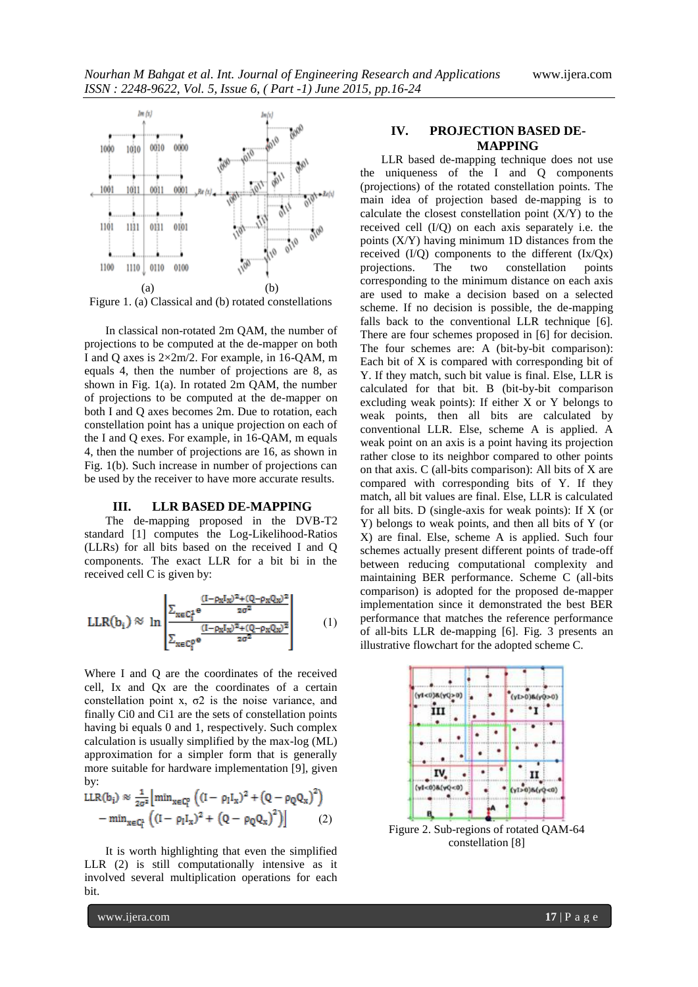

In classical non-rotated 2m QAM, the number of projections to be computed at the de-mapper on both I and Q axes is 2×2m/2. For example, in 16-QAM, m equals 4, then the number of projections are 8, as shown in Fig. 1(a). In rotated 2m QAM, the number of projections to be computed at the de-mapper on both I and Q axes becomes 2m. Due to rotation, each constellation point has a unique projection on each of the I and Q exes. For example, in 16-QAM, m equals 4, then the number of projections are 16, as shown in Fig. 1(b). Such increase in number of projections can be used by the receiver to have more accurate results.

#### **III. LLR BASED DE-MAPPING**

The de-mapping proposed in the DVB-T2 standard [1] computes the Log-Likelihood-Ratios (LLRs) for all bits based on the received I and Q components. The exact LLR for a bit bi in the received cell C is given by:

$$
LLR(b_i) \approx \ln \left[\frac{\sum_{x \in C_1^4} e^{\frac{(I - \rho_X I_x)^2 + (Q - \rho_X Q_x)^2}{2\sigma^2}}}{\sum_{x \in C_1^4} e^{\frac{(I - \rho_X I_x)^2 + (Q - \rho_X Q_x)^2}{2\sigma^2}}}\right]
$$
(1)

Where I and Q are the coordinates of the received cell, Ix and Qx are the coordinates of a certain constellation point x,  $\sigma$ 2 is the noise variance, and finally Ci0 and Ci1 are the sets of constellation points having bi equals 0 and 1, respectively. Such complex calculation is usually simplified by the max-log (ML) approximation for a simpler form that is generally more suitable for hardware implementation [9], given by:

$$
\begin{aligned} &LLR(b_i) \approx \frac{1}{2\sigma^2} \Big[ \min_{x \in C_l^0} \left( (I - \rho_I I_x)^2 + \left( Q - \rho_Q Q_x \right)^2 \right) \\ &- \min_{x \in C_l^1} \left( (I - \rho_I I_x)^2 + \left( Q - \rho_Q Q_x \right)^2 \right) \Big] \end{aligned} \tag{2}
$$

It is worth highlighting that even the simplified LLR (2) is still computationally intensive as it involved several multiplication operations for each bit.

# **IV. PROJECTION BASED DE-MAPPING**

LLR based de-mapping technique does not use the uniqueness of the I and Q components (projections) of the rotated constellation points. The main idea of projection based de-mapping is to calculate the closest constellation point  $(X/Y)$  to the received cell (I/Q) on each axis separately i.e. the points (X/Y) having minimum 1D distances from the received  $(I/Q)$  components to the different  $(Ix/Qx)$ <br>projections. The two constellation points projections. The two constellation corresponding to the minimum distance on each axis are used to make a decision based on a selected scheme. If no decision is possible, the de-mapping falls back to the conventional LLR technique [6]. There are four schemes proposed in [6] for decision. The four schemes are: A (bit-by-bit comparison): Each bit of X is compared with corresponding bit of Y. If they match, such bit value is final. Else, LLR is calculated for that bit. B (bit-by-bit comparison excluding weak points): If either X or Y belongs to weak points, then all bits are calculated by conventional LLR. Else, scheme A is applied. A weak point on an axis is a point having its projection rather close to its neighbor compared to other points on that axis. C (all-bits comparison): All bits of X are compared with corresponding bits of Y. If they match, all bit values are final. Else, LLR is calculated for all bits. D (single-axis for weak points): If X (or Y) belongs to weak points, and then all bits of Y (or X) are final. Else, scheme A is applied. Such four schemes actually present different points of trade-off between reducing computational complexity and maintaining BER performance. Scheme C (all-bits comparison) is adopted for the proposed de-mapper implementation since it demonstrated the best BER performance that matches the reference performance of all-bits LLR de-mapping [6]. Fig. 3 presents an illustrative flowchart for the adopted scheme C.



Figure 2. Sub-regions of rotated QAM-64 constellation [8]

www.ijera.com **17** | P a g e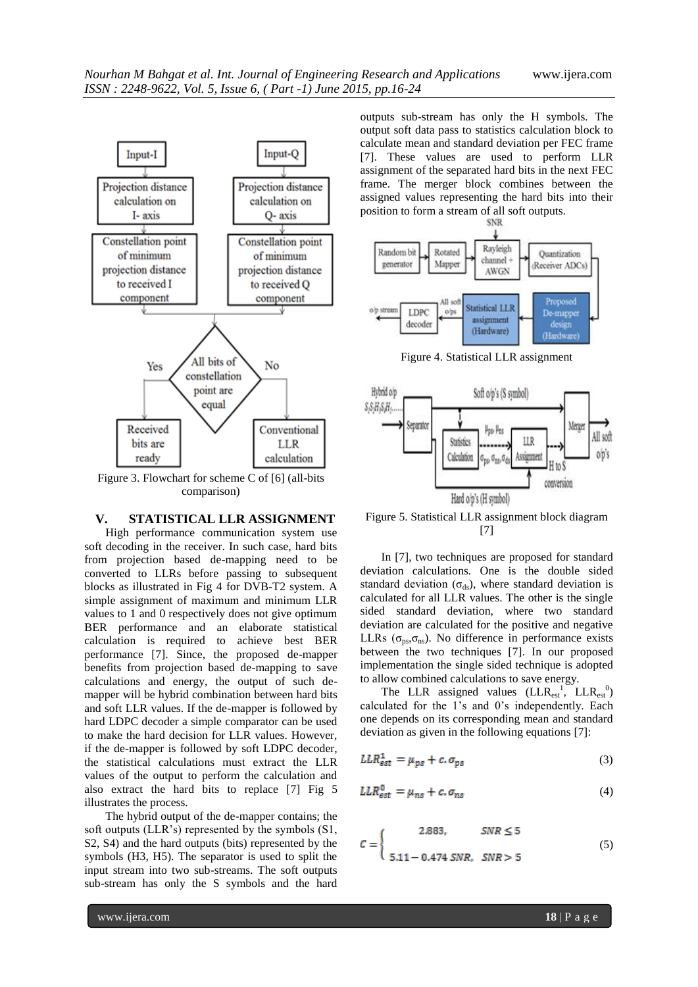

Figure 3. Flowchart for scheme C of [6] (all-bits comparison)

#### **V. STATISTICAL LLR ASSIGNMENT**

High performance communication system use soft decoding in the receiver. In such case, hard bits from projection based de-mapping need to be converted to LLRs before passing to subsequent blocks as illustrated in Fig 4 for DVB-T2 system. A simple assignment of maximum and minimum LLR values to 1 and 0 respectively does not give optimum BER performance and an elaborate statistical calculation is required to achieve best BER performance [7]. Since, the proposed de-mapper benefits from projection based de-mapping to save calculations and energy, the output of such demapper will be hybrid combination between hard bits and soft LLR values. If the de-mapper is followed by hard LDPC decoder a simple comparator can be used to make the hard decision for LLR values. However, if the de-mapper is followed by soft LDPC decoder, the statistical calculations must extract the LLR values of the output to perform the calculation and also extract the hard bits to replace [7] Fig 5 illustrates the process.

The hybrid output of the de-mapper contains; the soft outputs (LLR's) represented by the symbols (S1, S2, S4) and the hard outputs (bits) represented by the symbols (H3, H5). The separator is used to split the input stream into two sub-streams. The soft outputs sub-stream has only the S symbols and the hard outputs sub-stream has only the H symbols. The output soft data pass to statistics calculation block to calculate mean and standard deviation per FEC frame [7]. These values are used to perform LLR assignment of the separated hard bits in the next FEC frame. The merger block combines between the assigned values representing the hard bits into their



Figure 4. Statistical LLR assignment



Figure 5. Statistical LLR assignment block diagram [7]

In [7], two techniques are proposed for standard deviation calculations. One is the double sided standard deviation ( $\sigma_{ds}$ ), where standard deviation is calculated for all LLR values. The other is the single sided standard deviation, where two standard deviation are calculated for the positive and negative LLRs ( $\sigma_{ps}, \sigma_{ns}$ ). No difference in performance exists between the two techniques [7]. In our proposed implementation the single sided technique is adopted to allow combined calculations to save energy.

The LLR assigned values  $(LLR_{est}^{1})^T LLR_{est}^{0}$ calculated for the 1's and 0's independently. Each one depends on its corresponding mean and standard deviation as given in the following equations [7]:

$$
LLR_{est}^1 = \mu_{ps} + c \cdot \sigma_{ps} \tag{3}
$$

$$
LLR_{est}^{0} = \mu_{ns} + c.\sigma_{ns}
$$
 (4)

$$
C = \begin{cases} 2.883, & SNR \le 5 \\ 5.11 - 0.474 SNR, & SNR > 5 \end{cases}
$$
 (5)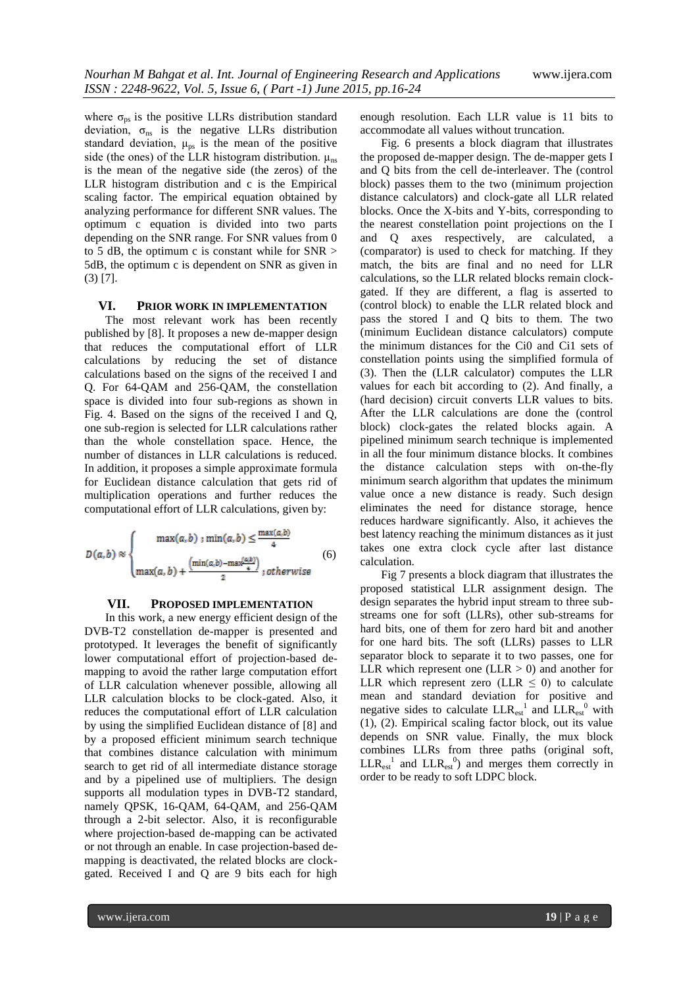where  $\sigma_{\text{ps}}$  is the positive LLRs distribution standard deviation,  $\sigma_{ns}$  is the negative LLRs distribution standard deviation,  $\mu_{ps}$  is the mean of the positive side (the ones) of the LLR histogram distribution.  $\mu_{ns}$ is the mean of the negative side (the zeros) of the LLR histogram distribution and c is the Empirical scaling factor. The empirical equation obtained by analyzing performance for different SNR values. The optimum c equation is divided into two parts depending on the SNR range. For SNR values from 0 to 5 dB, the optimum c is constant while for SNR > 5dB, the optimum c is dependent on SNR as given in (3) [7].

# **VI. PRIOR WORK IN IMPLEMENTATION**

The most relevant work has been recently published by [8]. It proposes a new de-mapper design that reduces the computational effort of LLR calculations by reducing the set of distance calculations based on the signs of the received I and Q. For 64-QAM and 256-QAM, the constellation space is divided into four sub-regions as shown in Fig. 4. Based on the signs of the received I and Q, one sub-region is selected for LLR calculations rather than the whole constellation space. Hence, the number of distances in LLR calculations is reduced. In addition, it proposes a simple approximate formula for Euclidean distance calculation that gets rid of multiplication operations and further reduces the computational effort of LLR calculations, given by:

$$
D(a,b) \approx \begin{cases} \max(a,b) : \min(a,b) \le \frac{\max(a,b)}{4} \\ \max(a,b) + \frac{\left(\min(a,b) - \max(a,b)\right)}{2} \text{; otherwise} \end{cases} (6)
$$

#### **VII. PROPOSED IMPLEMENTATION**

In this work, a new energy efficient design of the DVB-T2 constellation de-mapper is presented and prototyped. It leverages the benefit of significantly lower computational effort of projection-based demapping to avoid the rather large computation effort of LLR calculation whenever possible, allowing all LLR calculation blocks to be clock-gated. Also, it reduces the computational effort of LLR calculation by using the simplified Euclidean distance of [8] and by a proposed efficient minimum search technique that combines distance calculation with minimum search to get rid of all intermediate distance storage and by a pipelined use of multipliers. The design supports all modulation types in DVB-T2 standard, namely QPSK, 16-QAM, 64-QAM, and 256-QAM through a 2-bit selector. Also, it is reconfigurable where projection-based de-mapping can be activated or not through an enable. In case projection-based demapping is deactivated, the related blocks are clockgated. Received I and Q are 9 bits each for high

enough resolution. Each LLR value is 11 bits to accommodate all values without truncation.

Fig. 6 presents a block diagram that illustrates the proposed de-mapper design. The de-mapper gets I and Q bits from the cell de-interleaver. The (control block) passes them to the two (minimum projection distance calculators) and clock-gate all LLR related blocks. Once the X-bits and Y-bits, corresponding to the nearest constellation point projections on the I and Q axes respectively, are calculated, a (comparator) is used to check for matching. If they match, the bits are final and no need for LLR calculations, so the LLR related blocks remain clockgated. If they are different, a flag is asserted to (control block) to enable the LLR related block and pass the stored I and Q bits to them. The two (minimum Euclidean distance calculators) compute the minimum distances for the Ci0 and Ci1 sets of constellation points using the simplified formula of (3). Then the (LLR calculator) computes the LLR values for each bit according to (2). And finally, a (hard decision) circuit converts LLR values to bits. After the LLR calculations are done the (control block) clock-gates the related blocks again. A pipelined minimum search technique is implemented in all the four minimum distance blocks. It combines the distance calculation steps with on-the-fly minimum search algorithm that updates the minimum value once a new distance is ready. Such design eliminates the need for distance storage, hence reduces hardware significantly. Also, it achieves the best latency reaching the minimum distances as it just takes one extra clock cycle after last distance calculation.

Fig 7 presents a block diagram that illustrates the proposed statistical LLR assignment design. The design separates the hybrid input stream to three substreams one for soft (LLRs), other sub-streams for hard bits, one of them for zero hard bit and another for one hard bits. The soft (LLRs) passes to LLR separator block to separate it to two passes, one for LLR which represent one (LLR  $> 0$ ) and another for LLR which represent zero (LLR  $\leq$  0) to calculate mean and standard deviation for positive and negative sides to calculate  $LLR_{est}^{-1}$  and  $LLR_{est}^{-0}$  with (1), (2). Empirical scaling factor block, out its value depends on SNR value. Finally, the mux block combines LLRs from three paths (original soft,  $LLR_{est}^{1}$  and  $LLR_{est}^{0}$  and merges them correctly in order to be ready to soft LDPC block.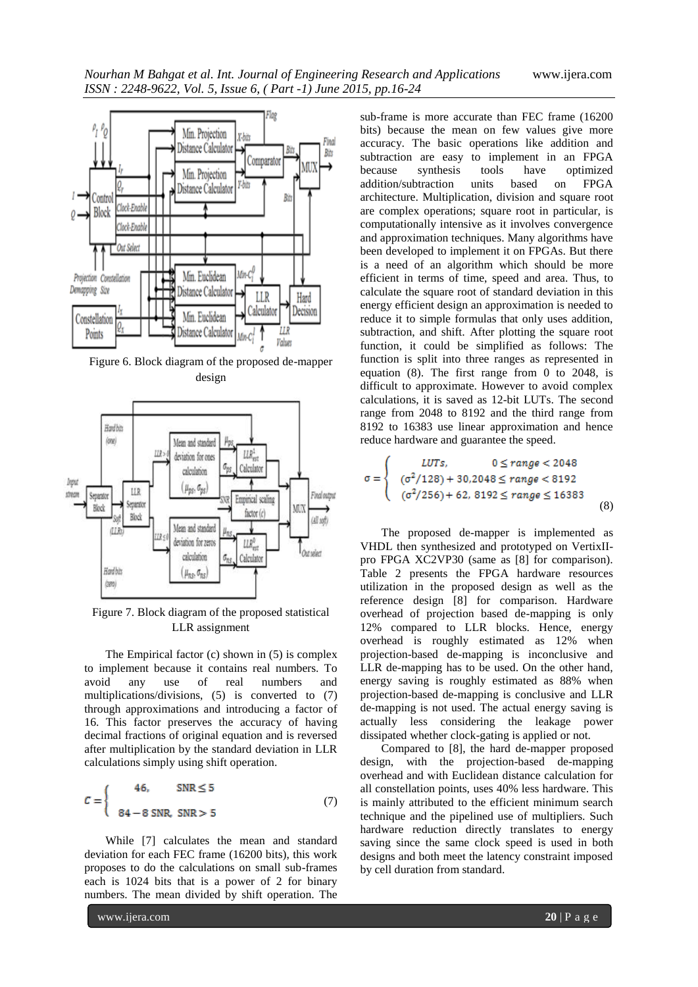

Figure 6. Block diagram of the proposed de-mapper design



Figure 7. Block diagram of the proposed statistical LLR assignment

The Empirical factor (c) shown in (5) is complex to implement because it contains real numbers. To avoid any use of real numbers and multiplications/divisions, (5) is converted to (7) through approximations and introducing a factor of 16. This factor preserves the accuracy of having decimal fractions of original equation and is reversed after multiplication by the standard deviation in LLR calculations simply using shift operation.

$$
C = \begin{cases} 46, & \text{SNR} \le 5 \\ 84 - 8 \text{ SNR, SNR} > 5 \end{cases} \tag{7}
$$

While [7] calculates the mean and standard deviation for each FEC frame (16200 bits), this work proposes to do the calculations on small sub-frames each is 1024 bits that is a power of 2 for binary numbers. The mean divided by shift operation. The

sub-frame is more accurate than FEC frame (16200 bits) because the mean on few values give more accuracy. The basic operations like addition and subtraction are easy to implement in an FPGA because synthesis tools have optimized addition/subtraction units based on FPGA architecture. Multiplication, division and square root are complex operations; square root in particular, is computationally intensive as it involves convergence and approximation techniques. Many algorithms have been developed to implement it on FPGAs. But there is a need of an algorithm which should be more efficient in terms of time, speed and area. Thus, to calculate the square root of standard deviation in this energy efficient design an approximation is needed to reduce it to simple formulas that only uses addition, subtraction, and shift. After plotting the square root function, it could be simplified as follows: The function is split into three ranges as represented in equation (8). The first range from 0 to 2048, is difficult to approximate. However to avoid complex calculations, it is saved as 12-bit LUTs. The second range from 2048 to 8192 and the third range from 8192 to 16383 use linear approximation and hence reduce hardware and guarantee the speed.

$$
\sigma = \begin{cases}\nLUTs, & 0 \le range < 2048 \\
(\sigma^2/128) + 30,2048 \le range < 8192 \\
(\sigma^2/256) + 62,8192 \le range \le 16383\n\end{cases}
$$
\n(8)

The proposed de-mapper is implemented as VHDL then synthesized and prototyped on VertixIIpro FPGA XC2VP30 (same as [8] for comparison). Table 2 presents the FPGA hardware resources utilization in the proposed design as well as the reference design [8] for comparison. Hardware overhead of projection based de-mapping is only 12% compared to LLR blocks. Hence, energy overhead is roughly estimated as 12% when projection-based de-mapping is inconclusive and LLR de-mapping has to be used. On the other hand, energy saving is roughly estimated as 88% when projection-based de-mapping is conclusive and LLR de-mapping is not used. The actual energy saving is actually less considering the leakage power dissipated whether clock-gating is applied or not.

Compared to [8], the hard de-mapper proposed design, with the projection-based de-mapping overhead and with Euclidean distance calculation for all constellation points, uses 40% less hardware. This is mainly attributed to the efficient minimum search technique and the pipelined use of multipliers. Such hardware reduction directly translates to energy saving since the same clock speed is used in both designs and both meet the latency constraint imposed by cell duration from standard.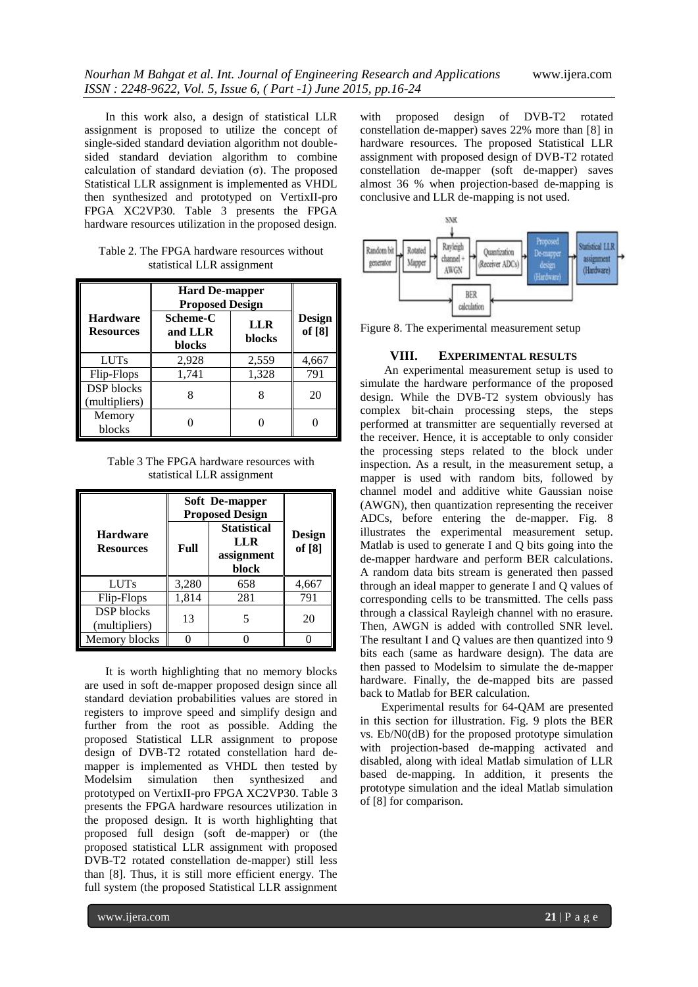In this work also, a design of statistical LLR assignment is proposed to utilize the concept of single-sided standard deviation algorithm not doublesided standard deviation algorithm to combine calculation of standard deviation  $(\sigma)$ . The proposed Statistical LLR assignment is implemented as VHDL then synthesized and prototyped on VertixII-pro FPGA XC2VP30. Table 3 presents the FPGA hardware resources utilization in the proposed design.

| Table 2. The FPGA hardware resources without |  |
|----------------------------------------------|--|
| statistical LLR assignment                   |  |

|                                     | <b>Hard De-mapper</b><br><b>Proposed Design</b> |                      |                         |
|-------------------------------------|-------------------------------------------------|----------------------|-------------------------|
| <b>Hardware</b><br><b>Resources</b> | Scheme-C<br>and LLR<br>blocks                   | <b>LLR</b><br>blocks | <b>Design</b><br>of [8] |
| <b>LUTs</b>                         | 2,928                                           | 2,559                | 4,667                   |
| Flip-Flops                          | 1,741                                           | 1,328                | 791                     |
| DSP blocks<br>(multipliers)         |                                                 |                      | 20                      |
| Memory<br>blocks                    |                                                 |                      |                         |

Table 3 The FPGA hardware resources with statistical LLR assignment

|                                     | Soft De-mapper<br><b>Proposed Design</b> |                                                         |                  |
|-------------------------------------|------------------------------------------|---------------------------------------------------------|------------------|
| <b>Hardware</b><br><b>Resources</b> | Full                                     | <b>Statistical</b><br><b>LLR</b><br>assignment<br>block | Design<br>of [8] |
| <b>LUTs</b>                         | 3,280                                    | 658                                                     | 4,667            |
| Flip-Flops                          | 1,814                                    | 281                                                     | 791              |
| <b>DSP</b> blocks<br>(multipliers)  | 13                                       |                                                         | 20               |
| Memory blocks                       |                                          |                                                         |                  |

It is worth highlighting that no memory blocks are used in soft de-mapper proposed design since all standard deviation probabilities values are stored in registers to improve speed and simplify design and further from the root as possible. Adding the proposed Statistical LLR assignment to propose design of DVB-T2 rotated constellation hard demapper is implemented as VHDL then tested by Modelsim simulation then synthesized and prototyped on VertixII-pro FPGA XC2VP30. Table 3 presents the FPGA hardware resources utilization in the proposed design. It is worth highlighting that proposed full design (soft de-mapper) or (the proposed statistical LLR assignment with proposed DVB-T2 rotated constellation de-mapper) still less than [8]. Thus, it is still more efficient energy. The full system (the proposed Statistical LLR assignment

with proposed design of DVB-T2 rotated constellation de-mapper) saves 22% more than [8] in hardware resources. The proposed Statistical LLR assignment with proposed design of DVB-T2 rotated constellation de-mapper (soft de-mapper) saves almost 36 % when projection-based de-mapping is conclusive and LLR de-mapping is not used.



Figure 8. The experimental measurement setup

# **VIII. EXPERIMENTAL RESULTS**

An experimental measurement setup is used to simulate the hardware performance of the proposed design. While the DVB-T2 system obviously has complex bit-chain processing steps, the steps performed at transmitter are sequentially reversed at the receiver. Hence, it is acceptable to only consider the processing steps related to the block under inspection. As a result, in the measurement setup, a mapper is used with random bits, followed by channel model and additive white Gaussian noise (AWGN), then quantization representing the receiver ADCs, before entering the de-mapper. Fig. 8 illustrates the experimental measurement setup. Matlab is used to generate I and Q bits going into the de-mapper hardware and perform BER calculations. A random data bits stream is generated then passed through an ideal mapper to generate I and Q values of corresponding cells to be transmitted. The cells pass through a classical Rayleigh channel with no erasure. Then, AWGN is added with controlled SNR level. The resultant I and Q values are then quantized into 9 bits each (same as hardware design). The data are then passed to Modelsim to simulate the de-mapper hardware. Finally, the de-mapped bits are passed back to Matlab for BER calculation.

Experimental results for 64-QAM are presented in this section for illustration. Fig. 9 plots the BER vs. Eb/N0(dB) for the proposed prototype simulation with projection-based de-mapping activated and disabled, along with ideal Matlab simulation of LLR based de-mapping. In addition, it presents the prototype simulation and the ideal Matlab simulation of [8] for comparison.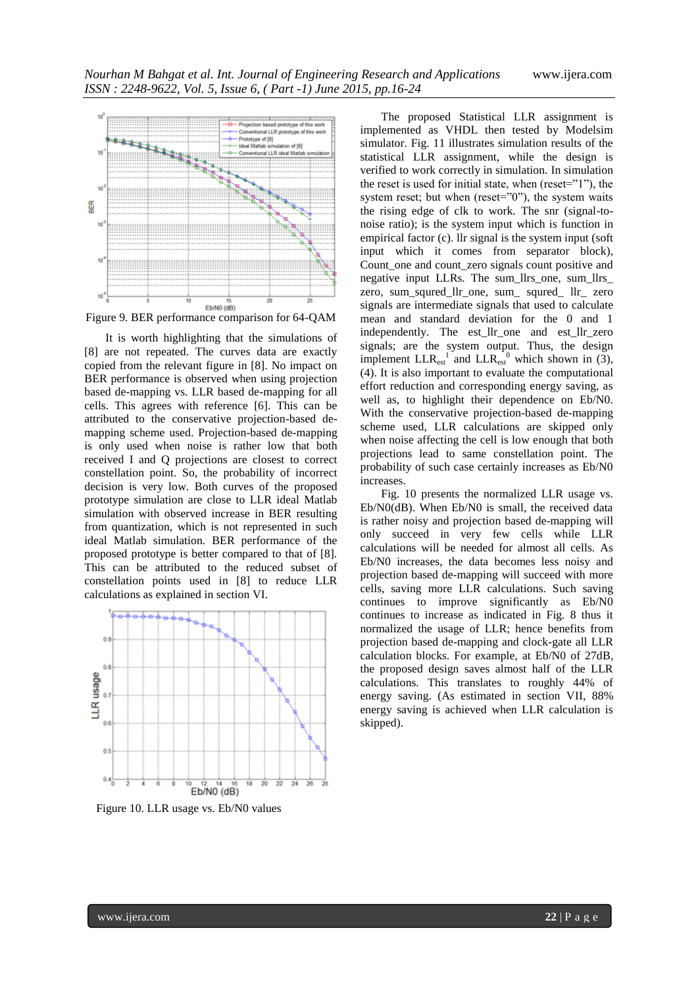

Figure 9. BER performance comparison for 64-QAM

It is worth highlighting that the simulations of [8] are not repeated. The curves data are exactly copied from the relevant figure in [8]. No impact on BER performance is observed when using projection based de-mapping vs. LLR based de-mapping for all cells. This agrees with reference [6]. This can be attributed to the conservative projection-based demapping scheme used. Projection-based de-mapping is only used when noise is rather low that both received I and Q projections are closest to correct constellation point. So, the probability of incorrect decision is very low. Both curves of the proposed prototype simulation are close to LLR ideal Matlab simulation with observed increase in BER resulting from quantization, which is not represented in such ideal Matlab simulation. BER performance of the proposed prototype is better compared to that of [8]. This can be attributed to the reduced subset of constellation points used in [8] to reduce LLR calculations as explained in section VI.



Figure 10. LLR usage vs. Eb/N0 values

The proposed Statistical LLR assignment is implemented as VHDL then tested by Modelsim simulator. Fig. 11 illustrates simulation results of the statistical LLR assignment, while the design is verified to work correctly in simulation. In simulation the reset is used for initial state, when (reset="1"), the system reset; but when (reset="0"), the system waits the rising edge of clk to work. The snr (signal-tonoise ratio); is the system input which is function in empirical factor (c). llr signal is the system input (soft input which it comes from separator block), Count\_one and count\_zero signals count positive and negative input LLRs. The sum\_llrs\_one, sum\_llrs\_ zero, sum\_squred\_llr\_one, sum\_ squred\_ llr\_ zero signals are intermediate signals that used to calculate mean and standard deviation for the 0 and 1 independently. The est\_llr\_one and est\_llr\_zero signals; are the system output. Thus, the design implement  $LLR_{est}^{-1}$  and  $LLR_{est}^{-0}$  which shown in (3), (4). It is also important to evaluate the computational effort reduction and corresponding energy saving, as well as, to highlight their dependence on Eb/N0. With the conservative projection-based de-mapping scheme used, LLR calculations are skipped only when noise affecting the cell is low enough that both projections lead to same constellation point. The probability of such case certainly increases as Eb/N0 increases.

Fig. 10 presents the normalized LLR usage vs. Eb/N0(dB). When Eb/N0 is small, the received data is rather noisy and projection based de-mapping will only succeed in very few cells while LLR calculations will be needed for almost all cells. As Eb/N0 increases, the data becomes less noisy and projection based de-mapping will succeed with more cells, saving more LLR calculations. Such saving continues to improve significantly as Eb/N0 continues to increase as indicated in Fig. 8 thus it normalized the usage of LLR; hence benefits from projection based de-mapping and clock-gate all LLR calculation blocks. For example, at Eb/N0 of 27dB, the proposed design saves almost half of the LLR calculations. This translates to roughly 44% of energy saving. (As estimated in section VII, 88% energy saving is achieved when LLR calculation is skipped).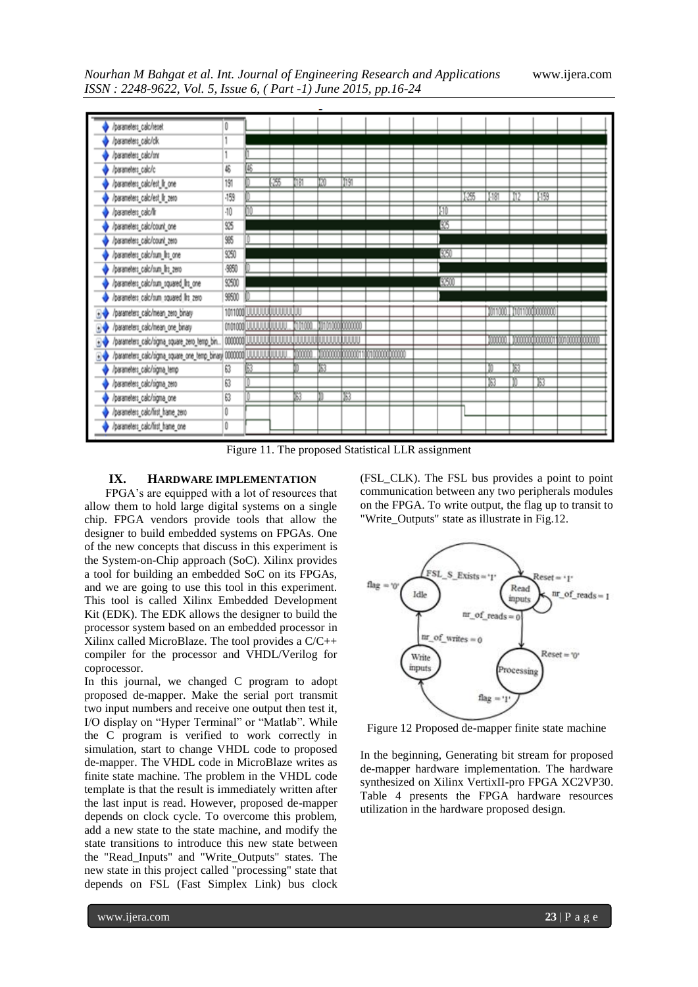

Figure 11. The proposed Statistical LLR assignment

# **IX. HARDWARE IMPLEMENTATION**

FPGA's are equipped with a lot of resources that allow them to hold large digital systems on a single chip. FPGA vendors provide tools that allow the designer to build embedded systems on FPGAs. One of the new concepts that discuss in this experiment is the System-on-Chip approach (SoC). Xilinx provides a tool for building an embedded SoC on its FPGAs, and we are going to use this tool in this experiment. This tool is called Xilinx Embedded Development Kit (EDK). The EDK allows the designer to build the processor system based on an embedded processor in Xilinx called MicroBlaze. The tool provides a C/C++ compiler for the processor and VHDL/Verilog for coprocessor.

In this journal, we changed C program to adopt proposed de-mapper. Make the serial port transmit two input numbers and receive one output then test it, I/O display on "Hyper Terminal" or "Matlab". While the C program is verified to work correctly in simulation, start to change VHDL code to proposed de-mapper. The VHDL code in MicroBlaze writes as finite state machine. The problem in the VHDL code template is that the result is immediately written after the last input is read. However, proposed de-mapper depends on clock cycle. To overcome this problem, add a new state to the state machine, and modify the state transitions to introduce this new state between the "Read\_Inputs" and "Write\_Outputs" states. The new state in this project called "processing" state that depends on FSL (Fast Simplex Link) bus clock

(FSL\_CLK). The FSL bus provides a point to point communication between any two peripherals modules on the FPGA. To write output, the flag up to transit to "Write\_Outputs" state as illustrate in Fig.12.



Figure 12 Proposed de-mapper finite state machine

In the beginning, Generating bit stream for proposed de-mapper hardware implementation. The hardware synthesized on Xilinx VertixII-pro FPGA XC2VP30. Table 4 presents the FPGA hardware resources utilization in the hardware proposed design.